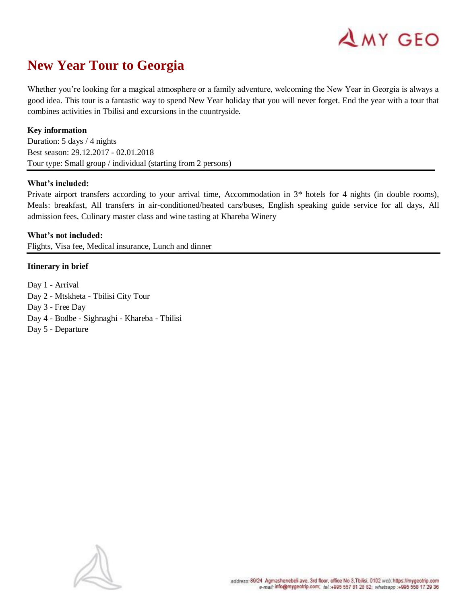

# **New Year Tour to Georgia**

Whether you're looking for a magical atmosphere or a family adventure, welcoming the New Year in Georgia is always a good idea. This tour is a fantastic way to spend New Year holiday that you will never forget. End the year with a tour that combines activities in Tbilisi and excursions in the countryside.

# **Key information**

Duration: 5 days / 4 nights Best season: 29.12.2017 - 02.01.2018 Tour type: Small group / individual (starting from 2 persons)

#### **What's included:**

Private airport transfers according to your arrival time, Accommodation in 3\* hotels for 4 nights (in double rooms), Meals: breakfast, All transfers in air-conditioned/heated cars/buses, English speaking guide service for all days, All admission fees, Culinary master class and wine tasting at Khareba Winery

#### **What's not included:**

Flights, Visa fee, Medical insurance, Lunch and dinner

# **Itinerary in brief**

Day 1 - Arrival Day 2 - Mtskheta - Tbilisi City Tour Day 3 - Free Day Day 4 - Bodbe - Sighnaghi - Khareba - Tbilisi Day 5 - Departure

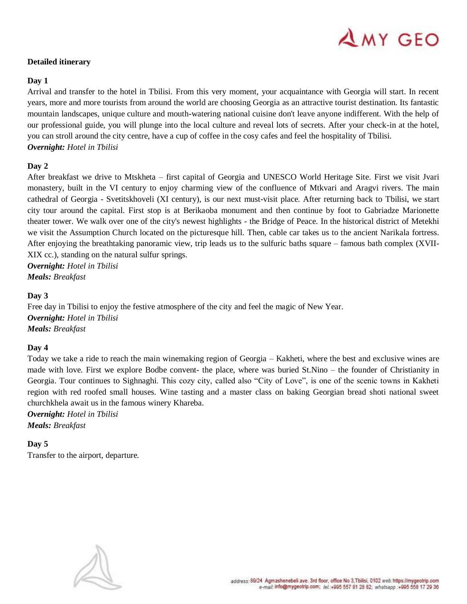# $\triangle$  MY GEO

# **Detailed itinerary**

## **Day 1**

Arrival and transfer to the hotel in Tbilisi. From this very moment, your acquaintance with Georgia will start. In recent years, more and more tourists from around the world are choosing Georgia as an attractive tourist destination. Its fantastic mountain landscapes, unique culture and mouth-watering national cuisine don't leave anyone indifferent. With the help of our professional guide, you will plunge into the local culture and reveal lots of secrets. After your check-in at the hotel, you can stroll around the city centre, have a cup of coffee in the cosy cafes and feel the hospitality of Tbilisi. *Overnight: Hotel in Tbilisi*

# **Day 2**

After breakfast we drive to Mtskheta – first capital of Georgia and UNESCO World Heritage Site. First we visit Jvari monastery, built in the VI century to enjoy charming view of the confluence of Mtkvari and Aragvi rivers. The main cathedral of Georgia - Svetitskhoveli (XI century), is our next must-visit place. After returning back to Tbilisi, we start city tour around the capital. First stop is at Berikaoba monument and then continue by foot to Gabriadze Marionette theater tower. We walk over one of the city's newest highlights - the Bridge of Peace. In the historical district of Metekhi we visit the Assumption Church located on the picturesque hill. Then, cable car takes us to the ancient Narikala fortress. After enjoying the breathtaking panoramic view, trip leads us to the sulfuric baths square – famous bath complex (XVII-XIX cc.), standing on the natural sulfur springs.

*Overnight: Hotel in Tbilisi Meals: Breakfast*

# **Day 3**

Free day in Tbilisi to enjoy the festive atmosphere of the city and feel the magic of New Year. *Overnight: Hotel in Tbilisi Meals: Breakfast*

#### **Day 4**

Today we take a ride to reach the main winemaking region of Georgia – Kakheti, where the best and exclusive wines are made with love. First we explore Bodbe convent- the place, where was buried St.Nino – the founder of Christianity in Georgia. Tour continues to Sighnaghi. This cozy city, called also "City of Love", is one of the scenic towns in Kakheti region with red roofed small houses. Wine tasting and a master class on baking Georgian bread shoti national sweet churchkhela await us in the famous winery Khareba.

*Overnight: Hotel in Tbilisi Meals: Breakfast*

**Day 5**

Transfer to the airport, departure.